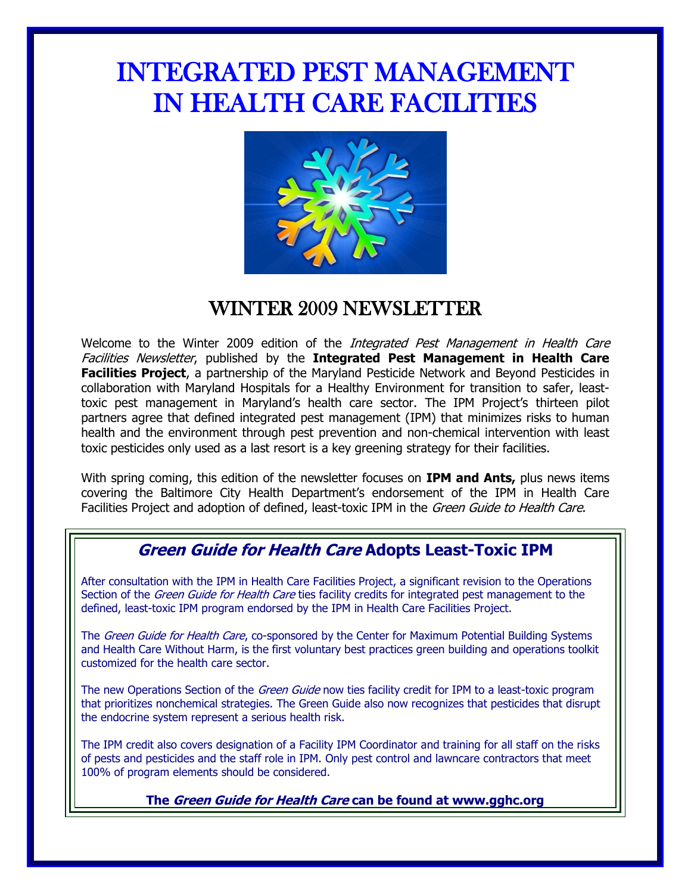# INTEGRATED PEST MANAGEMENT IN HEALTH CARE FACILITIES



# WINTER 2009 NEWSLETTER

Welcome to the Winter 2009 edition of the *Integrated Pest Management in Health Care* Facilities Newsletter, published by the **Integrated Pest Management in Health Care Facilities Project**, a partnership of the Maryland Pesticide Network and Beyond Pesticides in collaboration with Maryland Hospitals for a Healthy Environment for transition to safer, leasttoxic pest management in Maryland's health care sector. The IPM Project's thirteen pilot partners agree that defined integrated pest management (IPM) that minimizes risks to human health and the environment through pest prevention and non-chemical intervention with least toxic pesticides only used as a last resort is a key greening strategy for their facilities.

With spring coming, this edition of the newsletter focuses on **IPM and Ants,** plus news items covering the Baltimore City Health Department's endorsement of the IPM in Health Care Facilities Project and adoption of defined, least-toxic IPM in the Green Guide to Health Care.

# **Green Guide for Health Care Adopts Least-Toxic IPM**

After consultation with the IPM in Health Care Facilities Project, a significant revision to the Operations Section of the *Green Guide for Health Care* ties facility credits for integrated pest management to the defined, least-toxic IPM program endorsed by the IPM in Health Care Facilities Project.

The Green Guide for Health Care, co-sponsored by the Center for Maximum Potential Building Systems and Health Care Without Harm, is the first voluntary best practices green building and operations toolkit customized for the health care sector.

The new Operations Section of the *Green Guide* now ties facility credit for IPM to a least-toxic program that prioritizes nonchemical strategies. The Green Guide also now recognizes that pesticides that disrupt the endocrine system represent a serious health risk.

The IPM credit also covers designation of a Facility IPM Coordinator and training for all staff on the risks of pests and pesticides and the staff role in IPM. Only pest control and lawncare contractors that meet 100% of program elements should be considered.

**The Green Guide for Health Care can be found at www.gghc.org**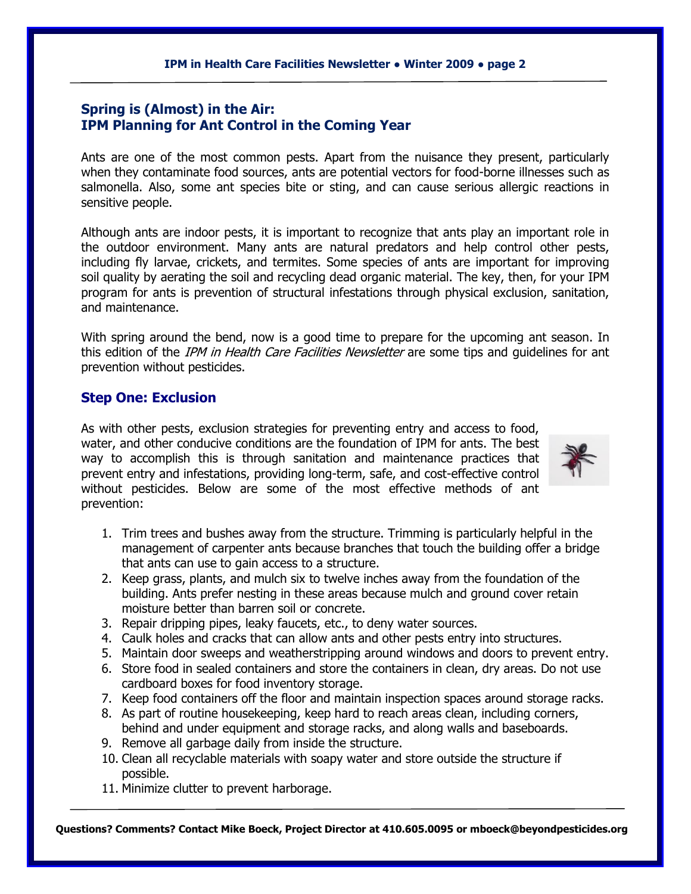#### **IPM in Health Care Facilities Newsletter ● Winter 2009 ● page 2**  $\overline{a}$

## **Spring is (Almost) in the Air: IPM Planning for Ant Control in the Coming Year**

Ants are one of the most common pests. Apart from the nuisance they present, particularly when they contaminate food sources, ants are potential vectors for food-borne illnesses such as salmonella. Also, some ant species bite or sting, and can cause serious allergic reactions in sensitive people.

Although ants are indoor pests, it is important to recognize that ants play an important role in the outdoor environment. Many ants are natural predators and help control other pests, including fly larvae, crickets, and termites. Some species of ants are important for improving soil quality by aerating the soil and recycling dead organic material. The key, then, for your IPM program for ants is prevention of structural infestations through physical exclusion, sanitation, and maintenance.

With spring around the bend, now is a good time to prepare for the upcoming ant season. In this edition of the *IPM in Health Care Facilities Newsletter* are some tips and quidelines for ant prevention without pesticides.

### **Step One: Exclusion**

As with other pests, exclusion strategies for preventing entry and access to food, water, and other conducive conditions are the foundation of IPM for ants. The best way to accomplish this is through sanitation and maintenance practices that prevent entry and infestations, providing long-term, safe, and cost-effective control without pesticides. Below are some of the most effective methods of ant prevention:



- 1. Trim trees and bushes away from the structure. Trimming is particularly helpful in the management of carpenter ants because branches that touch the building offer a bridge that ants can use to gain access to a structure.
- 2. Keep grass, plants, and mulch six to twelve inches away from the foundation of the building. Ants prefer nesting in these areas because mulch and ground cover retain moisture better than barren soil or concrete.
- 3. Repair dripping pipes, leaky faucets, etc., to deny water sources.
- 4. Caulk holes and cracks that can allow ants and other pests entry into structures.
- 5. Maintain door sweeps and weatherstripping around windows and doors to prevent entry.
- 6. Store food in sealed containers and store the containers in clean, dry areas. Do not use cardboard boxes for food inventory storage.
- 7. Keep food containers off the floor and maintain inspection spaces around storage racks.
- 8. As part of routine housekeeping, keep hard to reach areas clean, including corners, behind and under equipment and storage racks, and along walls and baseboards.
- 9. Remove all garbage daily from inside the structure.
- 10. Clean all recyclable materials with soapy water and store outside the structure if possible.
- 11. Minimize clutter to prevent harborage.

**Questions? Comments? Contact Mike Boeck, Project Director at 410.605.0095 or [mboeck@beyondpesticides.org](mailto:mboeck@beyondpesticides.org)**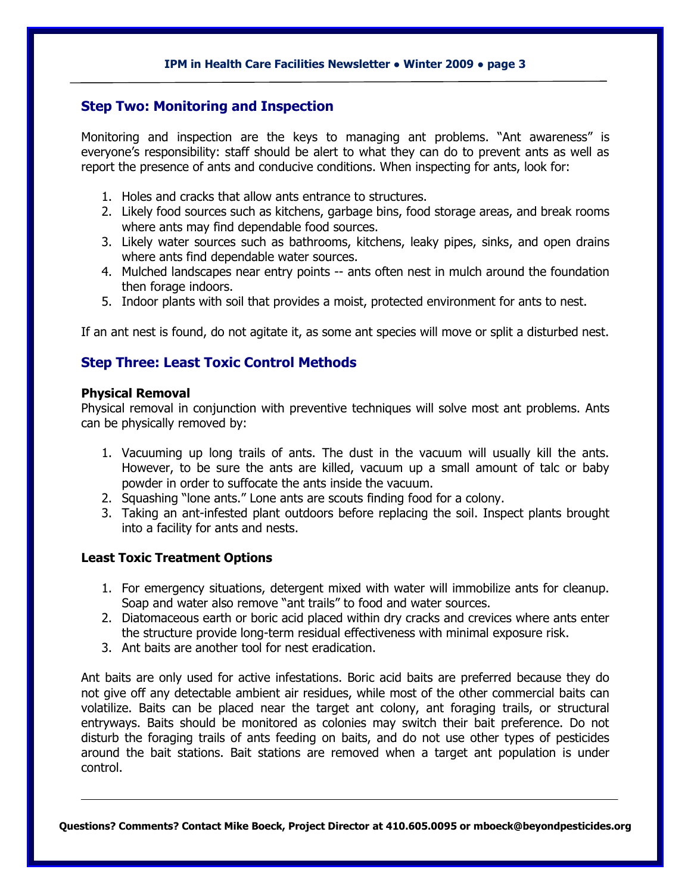## **Step Two: Monitoring and Inspection**

Monitoring and inspection are the keys to managing ant problems. "Ant awareness" is everyone's responsibility: staff should be alert to what they can do to prevent ants as well as report the presence of ants and conducive conditions. When inspecting for ants, look for:

- 1. Holes and cracks that allow ants entrance to structures.
- 2. Likely food sources such as kitchens, garbage bins, food storage areas, and break rooms where ants may find dependable food sources.
- 3. Likely water sources such as bathrooms, kitchens, leaky pipes, sinks, and open drains where ants find dependable water sources.
- 4. Mulched landscapes near entry points -- ants often nest in mulch around the foundation then forage indoors.
- 5. Indoor plants with soil that provides a moist, protected environment for ants to nest.

If an ant nest is found, do not agitate it, as some ant species will move or split a disturbed nest.

## **Step Three: Least Toxic Control Methods**

#### **Physical Removal**

Physical removal in conjunction with preventive techniques will solve most ant problems. Ants can be physically removed by:

- 1. Vacuuming up long trails of ants. The dust in the vacuum will usually kill the ants. However, to be sure the ants are killed, vacuum up a small amount of talc or baby powder in order to suffocate the ants inside the vacuum.
- 2. Squashing "lone ants." Lone ants are scouts finding food for a colony.
- 3. Taking an ant-infested plant outdoors before replacing the soil. Inspect plants brought into a facility for ants and nests.

### **Least Toxic Treatment Options**

- 1. For emergency situations, detergent mixed with water will immobilize ants for cleanup. Soap and water also remove "ant trails" to food and water sources.
- 2. Diatomaceous earth or boric acid placed within dry cracks and crevices where ants enter the structure provide long-term residual effectiveness with minimal exposure risk.
- 3. Ant baits are another tool for nest eradication.

Ant baits are only used for active infestations. Boric acid baits are preferred because they do not give off any detectable ambient air residues, while most of the other commercial baits can volatilize. Baits can be placed near the target ant colony, ant foraging trails, or structural entryways. Baits should be monitored as colonies may switch their bait preference. Do not disturb the foraging trails of ants feeding on baits, and do not use other types of pesticides around the bait stations. Bait stations are removed when a target ant population is under control.

**Questions? Comments? Contact Mike Boeck, Project Director at 410.605.0095 o[r mboeck@beyondpesticides.org](mailto:mboeck@beyondpesticides.or)**